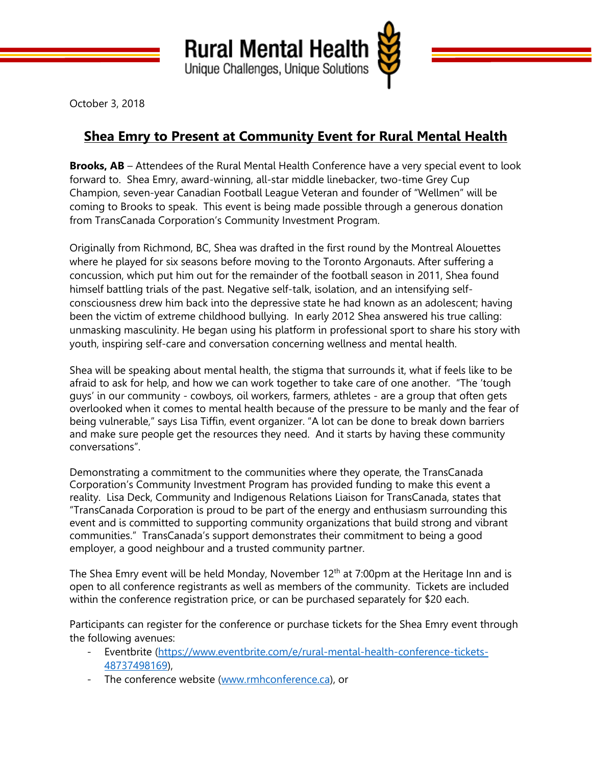

October 3, 2018

## **Shea Emry to Present at Community Event for Rural Mental Health**

**Brooks, AB** – Attendees of the Rural Mental Health Conference have a very special event to look forward to. Shea Emry, award-winning, all-star middle linebacker, two-time Grey Cup Champion, seven-year Canadian Football League Veteran and founder of "Wellmen" will be coming to Brooks to speak. This event is being made possible through a generous donation from TransCanada Corporation's Community Investment Program.

Originally from Richmond, BC, Shea was drafted in the first round by the Montreal Alouettes where he played for six seasons before moving to the Toronto Argonauts. After suffering a concussion, which put him out for the remainder of the football season in 2011, Shea found himself battling trials of the past. Negative self-talk, isolation, and an intensifying selfconsciousness drew him back into the depressive state he had known as an adolescent; having been the victim of extreme childhood bullying. In early 2012 Shea answered his true calling: unmasking masculinity. He began using his platform in professional sport to share his story with youth, inspiring self-care and conversation concerning wellness and mental health.

Shea will be speaking about mental health, the stigma that surrounds it, what if feels like to be afraid to ask for help, and how we can work together to take care of one another. "The 'tough guys' in our community - cowboys, oil workers, farmers, athletes - are a group that often gets overlooked when it comes to mental health because of the pressure to be manly and the fear of being vulnerable," says Lisa Tiffin, event organizer. "A lot can be done to break down barriers and make sure people get the resources they need. And it starts by having these community conversations".

Demonstrating a commitment to the communities where they operate, the TransCanada Corporation's Community Investment Program has provided funding to make this event a reality. Lisa Deck, Community and Indigenous Relations Liaison for TransCanada, states that "TransCanada Corporation is proud to be part of the energy and enthusiasm surrounding this event and is committed to supporting community organizations that build strong and vibrant communities." TransCanada's support demonstrates their commitment to being a good employer, a good neighbour and a trusted community partner.

The Shea Emry event will be held Monday, November  $12<sup>th</sup>$  at 7:00pm at the Heritage Inn and is open to all conference registrants as well as members of the community. Tickets are included within the conference registration price, or can be purchased separately for \$20 each.

Participants can register for the conference or purchase tickets for the Shea Emry event through the following avenues:

- Eventbrite [\(https://www.eventbrite.com/e/rural-mental-health-conference-tickets-](https://www.eventbrite.com/e/rural-mental-health-conference-tickets-48737498169)[48737498169\)](https://www.eventbrite.com/e/rural-mental-health-conference-tickets-48737498169),
- The conference website [\(www.rmhconference.ca\)](http://www.rmhconference.ca/), or